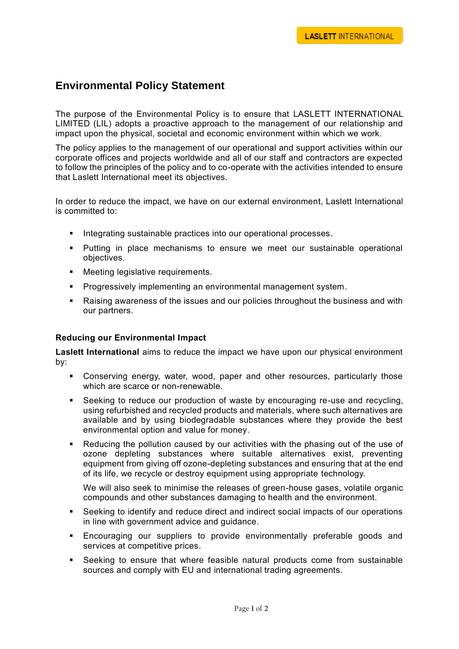## **Environmental Policy Statement**

The purpose of the Environmental Policy is to ensure that LASLETT INTERNATIONAL LIMITED (LIL) adopts a proactive approach to the management of our relationship and impact upon the physical, societal and economic environment within which we work.

The policy applies to the management of our operational and support activities within our corporate offices and projects worldwide and all of our staff and contractors are expected to follow the principles of the policy and to co-operate with the activities intended to ensure that Laslett International meet its objectives.

In order to reduce the impact, we have on our external environment, Laslett International is committed to:

- Integrating sustainable practices into our operational processes.
- **Putting in place mechanisms to ensure we meet our sustainable operational** objectives.
- **•** Meeting legislative requirements.
- **Progressively implementing an environmental management system.**
- Raising awareness of the issues and our policies throughout the business and with our partners.

## **Reducing our Environmental Impact**

**Laslett International** aims to reduce the impact we have upon our physical environment by:

- Conserving energy, water, wood, paper and other resources, particularly those which are scarce or non-renewable.
- Seeking to reduce our production of waste by encouraging re-use and recycling, using refurbished and recycled products and materials, where such alternatives are available and by using biodegradable substances where they provide the best environmental option and value for money.
- Reducing the pollution caused by our activities with the phasing out of the use of ozone depleting substances where suitable alternatives exist, preventing equipment from giving off ozone-depleting substances and ensuring that at the end of its life, we recycle or destroy equipment using appropriate technology.

We will also seek to minimise the releases of green-house gases, volatile organic compounds and other substances damaging to health and the environment.

- Seeking to identify and reduce direct and indirect social impacts of our operations in line with government advice and guidance.
- Encouraging our suppliers to provide environmentally preferable goods and services at competitive prices.
- Seeking to ensure that where feasible natural products come from sustainable sources and comply with EU and international trading agreements.